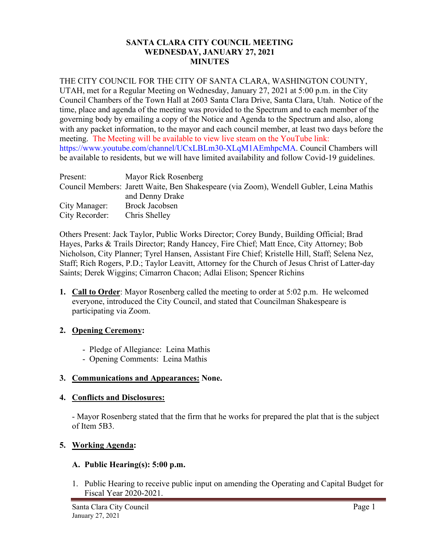## **SANTA CLARA CITY COUNCIL MEETING WEDNESDAY, JANUARY 27, 2021 MINUTES**

# THE CITY COUNCIL FOR THE CITY OF SANTA CLARA, WASHINGTON COUNTY,

UTAH, met for a Regular Meeting on Wednesday, January 27, 2021 at 5:00 p.m. in the City Council Chambers of the Town Hall at 2603 Santa Clara Drive, Santa Clara, Utah. Notice of the time, place and agenda of the meeting was provided to the Spectrum and to each member of the governing body by emailing a copy of the Notice and Agenda to the Spectrum and also, along with any packet information, to the mayor and each council member, at least two days before the meeting. The Meeting will be available to view live steam on the YouTube link: https://www.youtube.com/channel/UCxLBLm30-XLqM1AEmhpcMA. Council Chambers will be available to residents, but we will have limited availability and follow Covid-19 guidelines.

| Present:       | Mayor Rick Rosenberg                                                                    |
|----------------|-----------------------------------------------------------------------------------------|
|                | Council Members: Jarett Waite, Ben Shakespeare (via Zoom), Wendell Gubler, Leina Mathis |
|                | and Denny Drake                                                                         |
| City Manager:  | Brock Jacobsen                                                                          |
| City Recorder: | Chris Shelley                                                                           |

Others Present: Jack Taylor, Public Works Director; Corey Bundy, Building Official; Brad Hayes, Parks & Trails Director; Randy Hancey, Fire Chief; Matt Ence, City Attorney; Bob Nicholson, City Planner; Tyrel Hansen, Assistant Fire Chief; Kristelle Hill, Staff; Selena Nez, Staff; Rich Rogers, P.D.; Taylor Leavitt, Attorney for the Church of Jesus Christ of Latter-day Saints; Derek Wiggins; Cimarron Chacon; Adlai Elison; Spencer Richins

**1. Call to Order**: Mayor Rosenberg called the meeting to order at 5:02 p.m. He welcomed everyone, introduced the City Council, and stated that Councilman Shakespeare is participating via Zoom.

# **2. Opening Ceremony:**

- Pledge of Allegiance: Leina Mathis
- Opening Comments: Leina Mathis

# **3. Communications and Appearances: None.**

## **4. Conflicts and Disclosures:**

- Mayor Rosenberg stated that the firm that he works for prepared the plat that is the subject of Item 5B3.

# **5. Working Agenda:**

## **A. Public Hearing(s): 5:00 p.m.**

1. Public Hearing to receive public input on amending the Operating and Capital Budget for Fiscal Year 2020-2021.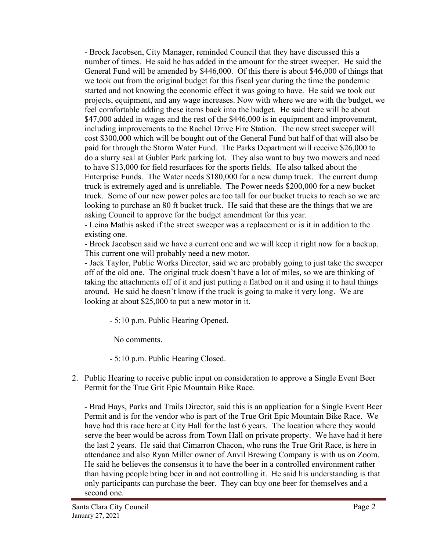- Brock Jacobsen, City Manager, reminded Council that they have discussed this a number of times. He said he has added in the amount for the street sweeper. He said the General Fund will be amended by \$446,000. Of this there is about \$46,000 of things that we took out from the original budget for this fiscal year during the time the pandemic started and not knowing the economic effect it was going to have. He said we took out projects, equipment, and any wage increases. Now with where we are with the budget, we feel comfortable adding these items back into the budget. He said there will be about \$47,000 added in wages and the rest of the \$446,000 is in equipment and improvement, including improvements to the Rachel Drive Fire Station. The new street sweeper will cost \$300,000 which will be bought out of the General Fund but half of that will also be paid for through the Storm Water Fund. The Parks Department will receive \$26,000 to do a slurry seal at Gubler Park parking lot. They also want to buy two mowers and need to have \$13,000 for field resurfaces for the sports fields. He also talked about the Enterprise Funds. The Water needs \$180,000 for a new dump truck. The current dump truck is extremely aged and is unreliable. The Power needs \$200,000 for a new bucket truck. Some of our new power poles are too tall for our bucket trucks to reach so we are looking to purchase an 80 ft bucket truck. He said that these are the things that we are asking Council to approve for the budget amendment for this year.

- Leina Mathis asked if the street sweeper was a replacement or is it in addition to the existing one.

- Brock Jacobsen said we have a current one and we will keep it right now for a backup. This current one will probably need a new motor.

- Jack Taylor, Public Works Director, said we are probably going to just take the sweeper off of the old one. The original truck doesn't have a lot of miles, so we are thinking of taking the attachments off of it and just putting a flatbed on it and using it to haul things around. He said he doesn't know if the truck is going to make it very long. We are looking at about \$25,000 to put a new motor in it.

- 5:10 p.m. Public Hearing Opened.

No comments.

- 5:10 p.m. Public Hearing Closed.

2. Public Hearing to receive public input on consideration to approve a Single Event Beer Permit for the True Grit Epic Mountain Bike Race.

- Brad Hays, Parks and Trails Director, said this is an application for a Single Event Beer Permit and is for the vendor who is part of the True Grit Epic Mountain Bike Race. We have had this race here at City Hall for the last 6 years. The location where they would serve the beer would be across from Town Hall on private property. We have had it here the last 2 years. He said that Cimarron Chacon, who runs the True Grit Race, is here in attendance and also Ryan Miller owner of Anvil Brewing Company is with us on Zoom. He said he believes the consensus it to have the beer in a controlled environment rather than having people bring beer in and not controlling it. He said his understanding is that only participants can purchase the beer. They can buy one beer for themselves and a second one.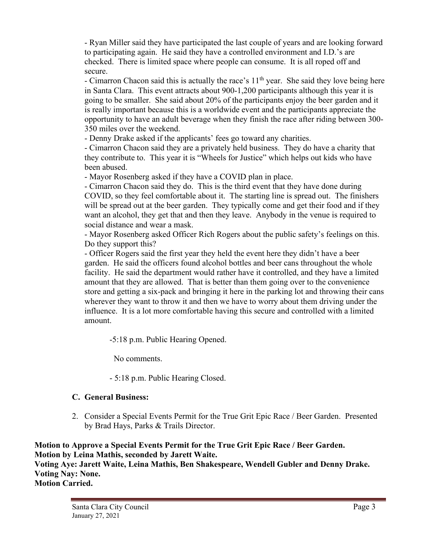- Ryan Miller said they have participated the last couple of years and are looking forward to participating again. He said they have a controlled environment and I.D.'s are checked. There is limited space where people can consume. It is all roped off and secure.

- Cimarron Chacon said this is actually the race's 11<sup>th</sup> year. She said they love being here in Santa Clara. This event attracts about 900-1,200 participants although this year it is going to be smaller. She said about 20% of the participants enjoy the beer garden and it is really important because this is a worldwide event and the participants appreciate the opportunity to have an adult beverage when they finish the race after riding between 300- 350 miles over the weekend.

- Denny Drake asked if the applicants' fees go toward any charities.

- Cimarron Chacon said they are a privately held business. They do have a charity that they contribute to. This year it is "Wheels for Justice" which helps out kids who have been abused.

- Mayor Rosenberg asked if they have a COVID plan in place.

- Cimarron Chacon said they do. This is the third event that they have done during COVID, so they feel comfortable about it. The starting line is spread out. The finishers will be spread out at the beer garden. They typically come and get their food and if they want an alcohol, they get that and then they leave. Anybody in the venue is required to social distance and wear a mask.

- Mayor Rosenberg asked Officer Rich Rogers about the public safety's feelings on this. Do they support this?

- Officer Rogers said the first year they held the event here they didn't have a beer garden. He said the officers found alcohol bottles and beer cans throughout the whole facility. He said the department would rather have it controlled, and they have a limited amount that they are allowed. That is better than them going over to the convenience store and getting a six-pack and bringing it here in the parking lot and throwing their cans wherever they want to throw it and then we have to worry about them driving under the influence. It is a lot more comfortable having this secure and controlled with a limited amount.

-5:18 p.m. Public Hearing Opened.

No comments.

- 5:18 p.m. Public Hearing Closed.

# **C. General Business:**

2. Consider a Special Events Permit for the True Grit Epic Race / Beer Garden. Presented by Brad Hays, Parks & Trails Director.

**Motion to Approve a Special Events Permit for the True Grit Epic Race / Beer Garden. Motion by Leina Mathis, seconded by Jarett Waite. Voting Aye: Jarett Waite, Leina Mathis, Ben Shakespeare, Wendell Gubler and Denny Drake. Voting Nay: None. Motion Carried.**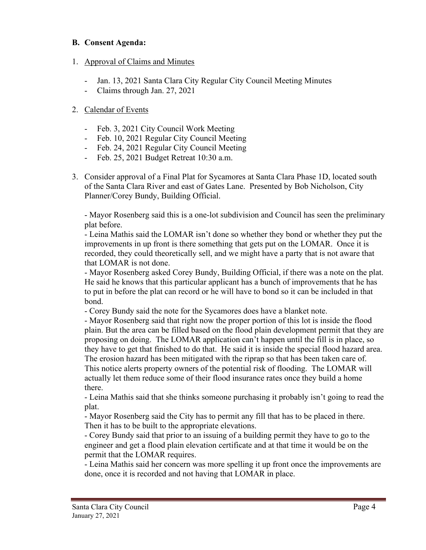## **B. Consent Agenda:**

# 1. Approval of Claims and Minutes

- Jan. 13, 2021 Santa Clara City Regular City Council Meeting Minutes
- Claims through Jan. 27, 2021

# 2. Calendar of Events

- Feb. 3, 2021 City Council Work Meeting
- Feb. 10, 2021 Regular City Council Meeting
- Feb. 24, 2021 Regular City Council Meeting
- Feb. 25, 2021 Budget Retreat 10:30 a.m.
- 3. Consider approval of a Final Plat for Sycamores at Santa Clara Phase 1D, located south of the Santa Clara River and east of Gates Lane. Presented by Bob Nicholson, City Planner/Corey Bundy, Building Official.

- Mayor Rosenberg said this is a one-lot subdivision and Council has seen the preliminary plat before.

- Leina Mathis said the LOMAR isn't done so whether they bond or whether they put the improvements in up front is there something that gets put on the LOMAR. Once it is recorded, they could theoretically sell, and we might have a party that is not aware that that LOMAR is not done.

- Mayor Rosenberg asked Corey Bundy, Building Official, if there was a note on the plat. He said he knows that this particular applicant has a bunch of improvements that he has to put in before the plat can record or he will have to bond so it can be included in that bond.

- Corey Bundy said the note for the Sycamores does have a blanket note.

- Mayor Rosenberg said that right now the proper portion of this lot is inside the flood plain. But the area can be filled based on the flood plain development permit that they are proposing on doing. The LOMAR application can't happen until the fill is in place, so they have to get that finished to do that. He said it is inside the special flood hazard area. The erosion hazard has been mitigated with the riprap so that has been taken care of. This notice alerts property owners of the potential risk of flooding. The LOMAR will actually let them reduce some of their flood insurance rates once they build a home there.

- Leina Mathis said that she thinks someone purchasing it probably isn't going to read the plat.

- Mayor Rosenberg said the City has to permit any fill that has to be placed in there. Then it has to be built to the appropriate elevations.

- Corey Bundy said that prior to an issuing of a building permit they have to go to the engineer and get a flood plain elevation certificate and at that time it would be on the permit that the LOMAR requires.

- Leina Mathis said her concern was more spelling it up front once the improvements are done, once it is recorded and not having that LOMAR in place.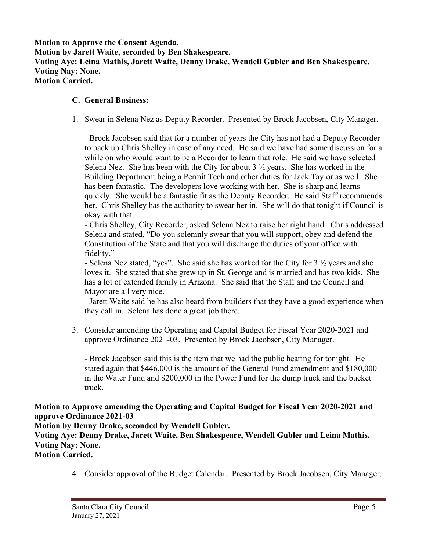**Motion to Approve the Consent Agenda. Motion by Jarett Waite, seconded by Ben Shakespeare. Voting Aye: Leina Mathis, Jarett Waite, Denny Drake, Wendell Gubler and Ben Shakespeare. Voting Nay: None. Motion Carried.**

#### **C. General Business:**

1. Swear in Selena Nez as Deputy Recorder. Presented by Brock Jacobsen, City Manager.

- Brock Jacobsen said that for a number of years the City has not had a Deputy Recorder to back up Chris Shelley in case of any need. He said we have had some discussion for a while on who would want to be a Recorder to learn that role. He said we have selected Selena Nez. She has been with the City for about 3  $\frac{1}{2}$  years. She has worked in the Building Department being a Permit Tech and other duties for Jack Taylor as well. She has been fantastic. The developers love working with her. She is sharp and learns quickly. She would be a fantastic fit as the Deputy Recorder. He said Staff recommends her. Chris Shelley has the authority to swear her in. She will do that tonight if Council is okay with that.

- Chris Shelley, City Recorder, asked Selena Nez to raise her right hand. Chris addressed Selena and stated, "Do you solemnly swear that you will support, obey and defend the Constitution of the State and that you will discharge the duties of your office with fidelity."

- Selena Nez stated, "yes". She said she has worked for the City for 3 ½ years and she loves it. She stated that she grew up in St. George and is married and has two kids. She has a lot of extended family in Arizona. She said that the Staff and the Council and Mayor are all very nice.

- Jarett Waite said he has also heard from builders that they have a good experience when they call in. Selena has done a great job there.

 3. Consider amending the Operating and Capital Budget for Fiscal Year 2020-2021 and approve Ordinance 2021-03. Presented by Brock Jacobsen, City Manager.

- Brock Jacobsen said this is the item that we had the public hearing for tonight. He stated again that \$446,000 is the amount of the General Fund amendment and \$180,000 in the Water Fund and \$200,000 in the Power Fund for the dump truck and the bucket truck.

## **Motion to Approve amending the Operating and Capital Budget for Fiscal Year 2020-2021 and approve Ordinance 2021-03**

**Motion by Denny Drake, seconded by Wendell Gubler.**

**Voting Aye: Denny Drake, Jarett Waite, Ben Shakespeare, Wendell Gubler and Leina Mathis. Voting Nay: None.**

- **Motion Carried.**
	- 4. Consider approval of the Budget Calendar. Presented by Brock Jacobsen, City Manager.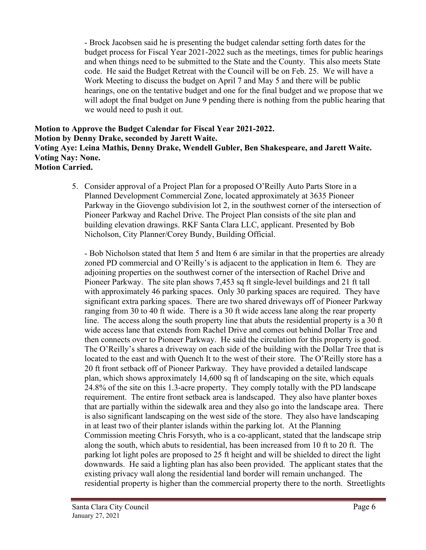- Brock Jacobsen said he is presenting the budget calendar setting forth dates for the budget process for Fiscal Year 2021-2022 such as the meetings, times for public hearings and when things need to be submitted to the State and the County. This also meets State code. He said the Budget Retreat with the Council will be on Feb. 25. We will have a Work Meeting to discuss the budget on April 7 and May 5 and there will be public hearings, one on the tentative budget and one for the final budget and we propose that we will adopt the final budget on June 9 pending there is nothing from the public hearing that we would need to push it out.

#### **Motion to Approve the Budget Calendar for Fiscal Year 2021-2022. Motion by Denny Drake, seconded by Jarett Waite. Voting Aye: Leina Mathis, Denny Drake, Wendell Gubler, Ben Shakespeare, and Jarett Waite. Voting Nay: None. Motion Carried.**

5. Consider approval of a Project Plan for a proposed O'Reilly Auto Parts Store in a Planned Development Commercial Zone, located approximately at 3635 Pioneer Parkway in the Giovengo subdivision lot 2, in the southwest corner of the intersection of Pioneer Parkway and Rachel Drive. The Project Plan consists of the site plan and building elevation drawings. RKF Santa Clara LLC, applicant. Presented by Bob Nicholson, City Planner/Corey Bundy, Building Official.

- Bob Nicholson stated that Item 5 and Item 6 are similar in that the properties are already zoned PD commercial and O'Reilly's is adjacent to the application in Item 6. They are adjoining properties on the southwest corner of the intersection of Rachel Drive and Pioneer Parkway. The site plan shows 7,453 sq ft single-level buildings and 21 ft tall with approximately 46 parking spaces. Only 30 parking spaces are required. They have significant extra parking spaces. There are two shared driveways off of Pioneer Parkway ranging from 30 to 40 ft wide. There is a 30 ft wide access lane along the rear property line. The access along the south property line that abuts the residential property is a 30 ft wide access lane that extends from Rachel Drive and comes out behind Dollar Tree and then connects over to Pioneer Parkway. He said the circulation for this property is good. The O'Reilly's shares a driveway on each side of the building with the Dollar Tree that is located to the east and with Quench It to the west of their store. The O'Reilly store has a 20 ft front setback off of Pioneer Parkway. They have provided a detailed landscape plan, which shows approximately 14,600 sq ft of landscaping on the site, which equals 24.8% of the site on this 1.3-acre property. They comply totally with the PD landscape requirement. The entire front setback area is landscaped. They also have planter boxes that are partially within the sidewalk area and they also go into the landscape area. There is also significant landscaping on the west side of the store. They also have landscaping in at least two of their planter islands within the parking lot. At the Planning Commission meeting Chris Forsyth, who is a co-applicant, stated that the landscape strip along the south, which abuts to residential, has been increased from 10 ft to 20 ft. The parking lot light poles are proposed to 25 ft height and will be shielded to direct the light downwards. He said a lighting plan has also been provided. The applicant states that the existing privacy wall along the residential land border will remain unchanged. The residential property is higher than the commercial property there to the north. Streetlights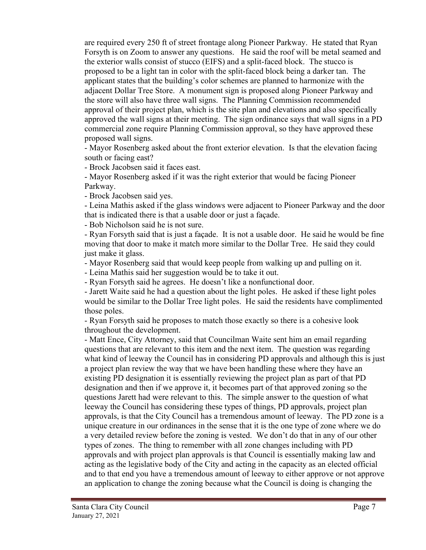are required every 250 ft of street frontage along Pioneer Parkway. He stated that Ryan Forsyth is on Zoom to answer any questions. He said the roof will be metal seamed and the exterior walls consist of stucco (EIFS) and a split-faced block. The stucco is proposed to be a light tan in color with the split-faced block being a darker tan. The applicant states that the building's color schemes are planned to harmonize with the adjacent Dollar Tree Store. A monument sign is proposed along Pioneer Parkway and the store will also have three wall signs. The Planning Commission recommended approval of their project plan, which is the site plan and elevations and also specifically approved the wall signs at their meeting. The sign ordinance says that wall signs in a PD commercial zone require Planning Commission approval, so they have approved these proposed wall signs.

- Mayor Rosenberg asked about the front exterior elevation. Is that the elevation facing south or facing east?

- Brock Jacobsen said it faces east.

- Mayor Rosenberg asked if it was the right exterior that would be facing Pioneer Parkway.

- Brock Jacobsen said yes.

- Leina Mathis asked if the glass windows were adjacent to Pioneer Parkway and the door that is indicated there is that a usable door or just a façade.

- Bob Nicholson said he is not sure.

- Ryan Forsyth said that is just a façade. It is not a usable door. He said he would be fine moving that door to make it match more similar to the Dollar Tree. He said they could just make it glass.

- Mayor Rosenberg said that would keep people from walking up and pulling on it.

- Leina Mathis said her suggestion would be to take it out.

- Ryan Forsyth said he agrees. He doesn't like a nonfunctional door.

- Jarett Waite said he had a question about the light poles. He asked if these light poles would be similar to the Dollar Tree light poles. He said the residents have complimented those poles.

- Ryan Forsyth said he proposes to match those exactly so there is a cohesive look throughout the development.

- Matt Ence, City Attorney, said that Councilman Waite sent him an email regarding questions that are relevant to this item and the next item. The question was regarding what kind of leeway the Council has in considering PD approvals and although this is just a project plan review the way that we have been handling these where they have an existing PD designation it is essentially reviewing the project plan as part of that PD designation and then if we approve it, it becomes part of that approved zoning so the questions Jarett had were relevant to this. The simple answer to the question of what leeway the Council has considering these types of things, PD approvals, project plan approvals, is that the City Council has a tremendous amount of leeway. The PD zone is a unique creature in our ordinances in the sense that it is the one type of zone where we do a very detailed review before the zoning is vested. We don't do that in any of our other types of zones. The thing to remember with all zone changes including with PD approvals and with project plan approvals is that Council is essentially making law and acting as the legislative body of the City and acting in the capacity as an elected official and to that end you have a tremendous amount of leeway to either approve or not approve an application to change the zoning because what the Council is doing is changing the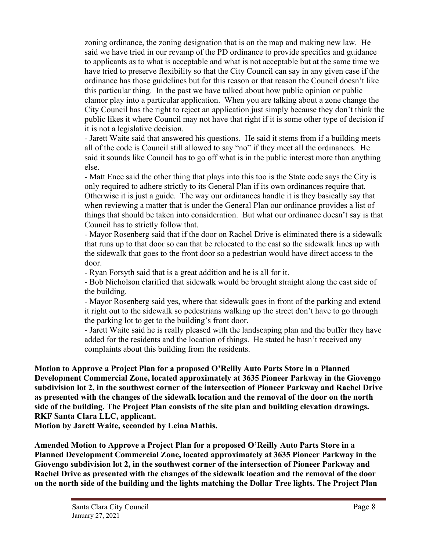zoning ordinance, the zoning designation that is on the map and making new law. He said we have tried in our revamp of the PD ordinance to provide specifics and guidance to applicants as to what is acceptable and what is not acceptable but at the same time we have tried to preserve flexibility so that the City Council can say in any given case if the ordinance has those guidelines but for this reason or that reason the Council doesn't like this particular thing. In the past we have talked about how public opinion or public clamor play into a particular application. When you are talking about a zone change the City Council has the right to reject an application just simply because they don't think the public likes it where Council may not have that right if it is some other type of decision if it is not a legislative decision.

- Jarett Waite said that answered his questions. He said it stems from if a building meets all of the code is Council still allowed to say "no" if they meet all the ordinances. He said it sounds like Council has to go off what is in the public interest more than anything else.

- Matt Ence said the other thing that plays into this too is the State code says the City is only required to adhere strictly to its General Plan if its own ordinances require that. Otherwise it is just a guide. The way our ordinances handle it is they basically say that when reviewing a matter that is under the General Plan our ordinance provides a list of things that should be taken into consideration. But what our ordinance doesn't say is that Council has to strictly follow that.

- Mayor Rosenberg said that if the door on Rachel Drive is eliminated there is a sidewalk that runs up to that door so can that be relocated to the east so the sidewalk lines up with the sidewalk that goes to the front door so a pedestrian would have direct access to the door.

- Ryan Forsyth said that is a great addition and he is all for it.

- Bob Nicholson clarified that sidewalk would be brought straight along the east side of the building.

- Mayor Rosenberg said yes, where that sidewalk goes in front of the parking and extend it right out to the sidewalk so pedestrians walking up the street don't have to go through the parking lot to get to the building's front door.

- Jarett Waite said he is really pleased with the landscaping plan and the buffer they have added for the residents and the location of things. He stated he hasn't received any complaints about this building from the residents.

**Motion to Approve a Project Plan for a proposed O'Reilly Auto Parts Store in a Planned Development Commercial Zone, located approximately at 3635 Pioneer Parkway in the Giovengo subdivision lot 2, in the southwest corner of the intersection of Pioneer Parkway and Rachel Drive as presented with the changes of the sidewalk location and the removal of the door on the north side of the building. The Project Plan consists of the site plan and building elevation drawings. RKF Santa Clara LLC, applicant.**

**Motion by Jarett Waite, seconded by Leina Mathis.**

**Amended Motion to Approve a Project Plan for a proposed O'Reilly Auto Parts Store in a Planned Development Commercial Zone, located approximately at 3635 Pioneer Parkway in the Giovengo subdivision lot 2, in the southwest corner of the intersection of Pioneer Parkway and Rachel Drive as presented with the changes of the sidewalk location and the removal of the door on the north side of the building and the lights matching the Dollar Tree lights. The Project Plan**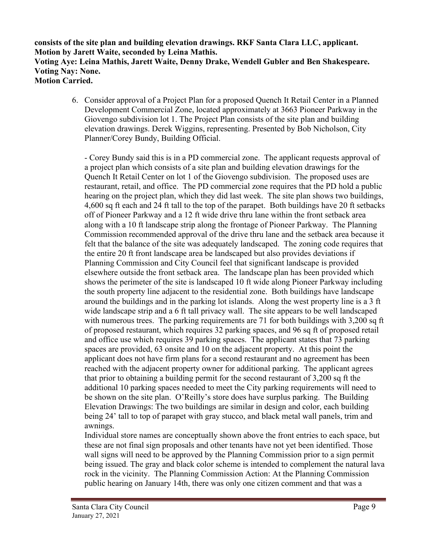**consists of the site plan and building elevation drawings. RKF Santa Clara LLC, applicant. Motion by Jarett Waite, seconded by Leina Mathis. Voting Aye: Leina Mathis, Jarett Waite, Denny Drake, Wendell Gubler and Ben Shakespeare. Voting Nay: None. Motion Carried.**

> 6. Consider approval of a Project Plan for a proposed Quench It Retail Center in a Planned Development Commercial Zone, located approximately at 3663 Pioneer Parkway in the Giovengo subdivision lot 1. The Project Plan consists of the site plan and building elevation drawings. Derek Wiggins, representing. Presented by Bob Nicholson, City Planner/Corey Bundy, Building Official.

- Corey Bundy said this is in a PD commercial zone. The applicant requests approval of a project plan which consists of a site plan and building elevation drawings for the Quench It Retail Center on lot 1 of the Giovengo subdivision. The proposed uses are restaurant, retail, and office. The PD commercial zone requires that the PD hold a public hearing on the project plan, which they did last week. The site plan shows two buildings, 4,600 sq ft each and 24 ft tall to the top of the parapet. Both buildings have 20 ft setbacks off of Pioneer Parkway and a 12 ft wide drive thru lane within the front setback area along with a 10 ft landscape strip along the frontage of Pioneer Parkway. The Planning Commission recommended approval of the drive thru lane and the setback area because it felt that the balance of the site was adequately landscaped. The zoning code requires that the entire 20 ft front landscape area be landscaped but also provides deviations if Planning Commission and City Council feel that significant landscape is provided elsewhere outside the front setback area. The landscape plan has been provided which shows the perimeter of the site is landscaped 10 ft wide along Pioneer Parkway including the south property line adjacent to the residential zone. Both buildings have landscape around the buildings and in the parking lot islands. Along the west property line is a 3 ft wide landscape strip and a 6 ft tall privacy wall. The site appears to be well landscaped with numerous trees. The parking requirements are 71 for both buildings with 3,200 sq ft of proposed restaurant, which requires 32 parking spaces, and 96 sq ft of proposed retail and office use which requires 39 parking spaces. The applicant states that 73 parking spaces are provided, 63 onsite and 10 on the adjacent property. At this point the applicant does not have firm plans for a second restaurant and no agreement has been reached with the adjacent property owner for additional parking. The applicant agrees that prior to obtaining a building permit for the second restaurant of 3,200 sq ft the additional 10 parking spaces needed to meet the City parking requirements will need to be shown on the site plan. O'Reilly's store does have surplus parking. The Building Elevation Drawings: The two buildings are similar in design and color, each building being 24' tall to top of parapet with gray stucco, and black metal wall panels, trim and awnings.

Individual store names are conceptually shown above the front entries to each space, but these are not final sign proposals and other tenants have not yet been identified. Those wall signs will need to be approved by the Planning Commission prior to a sign permit being issued. The gray and black color scheme is intended to complement the natural lava rock in the vicinity. The Planning Commission Action: At the Planning Commission public hearing on January 14th, there was only one citizen comment and that was a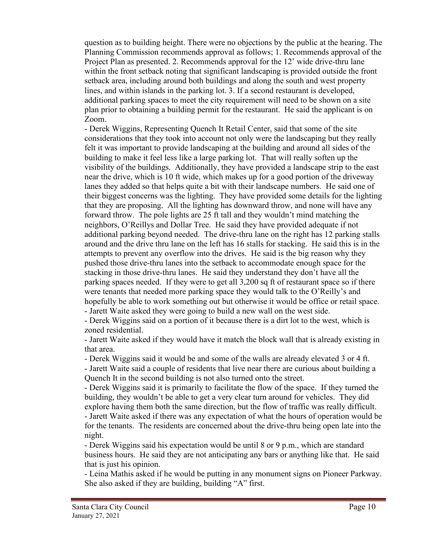question as to building height. There were no objections by the public at the hearing. The Planning Commission recommends approval as follows; 1. Recommends approval of the Project Plan as presented. 2. Recommends approval for the 12' wide drive-thru lane within the front setback noting that significant landscaping is provided outside the front setback area, including around both buildings and along the south and west property lines, and within islands in the parking lot. 3. If a second restaurant is developed, additional parking spaces to meet the city requirement will need to be shown on a site plan prior to obtaining a building permit for the restaurant. He said the applicant is on Zoom.

- Derek Wiggins, Representing Quench It Retail Center, said that some of the site considerations that they took into account not only were the landscaping but they really felt it was important to provide landscaping at the building and around all sides of the building to make it feel less like a large parking lot. That will really soften up the visibility of the buildings. Additionally, they have provided a landscape strip to the east near the drive, which is 10 ft wide, which makes up for a good portion of the driveway lanes they added so that helps quite a bit with their landscape numbers. He said one of their biggest concerns was the lighting. They have provided some details for the lighting that they are proposing. All the lighting has downward throw, and none will have any forward throw. The pole lights are 25 ft tall and they wouldn't mind matching the neighbors, O'Reillys and Dollar Tree. He said they have provided adequate if not additional parking beyond needed. The drive-thru lane on the right has 12 parking stalls around and the drive thru lane on the left has 16 stalls for stacking. He said this is in the attempts to prevent any overflow into the drives. He said is the big reason why they pushed those drive-thru lanes into the setback to accommodate enough space for the stacking in those drive-thru lanes. He said they understand they don't have all the parking spaces needed. If they were to get all 3,200 sq ft of restaurant space so if there were tenants that needed more parking space they would talk to the O'Reilly's and hopefully be able to work something out but otherwise it would be office or retail space. - Jarett Waite asked they were going to build a new wall on the west side.

- Derek Wiggins said on a portion of it because there is a dirt lot to the west, which is

zoned residential.

- Jarett Waite asked if they would have it match the block wall that is already existing in that area.

- Derek Wiggins said it would be and some of the walls are already elevated 3 or 4 ft.

- Jarett Waite said a couple of residents that live near there are curious about building a Quench It in the second building is not also turned onto the street.

- Derek Wiggins said it is primarily to facilitate the flow of the space. If they turned the building, they wouldn't be able to get a very clear turn around for vehicles. They did explore having them both the same direction, but the flow of traffic was really difficult. - Jarett Waite asked if there was any expectation of what the hours of operation would be for the tenants. The residents are concerned about the drive-thru being open late into the night.

- Derek Wiggins said his expectation would be until 8 or 9 p.m., which are standard business hours. He said they are not anticipating any bars or anything like that. He said that is just his opinion.

- Leina Mathis asked if he would be putting in any monument signs on Pioneer Parkway. She also asked if they are building, building "A" first.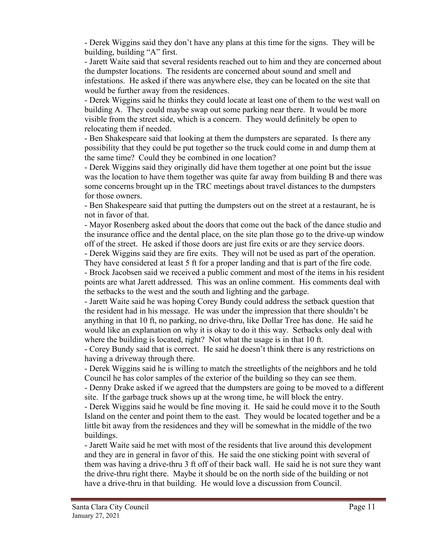- Derek Wiggins said they don't have any plans at this time for the signs. They will be building, building "A" first.

- Jarett Waite said that several residents reached out to him and they are concerned about the dumpster locations. The residents are concerned about sound and smell and infestations. He asked if there was anywhere else, they can be located on the site that would be further away from the residences.

- Derek Wiggins said he thinks they could locate at least one of them to the west wall on building A. They could maybe swap out some parking near there. It would be more visible from the street side, which is a concern. They would definitely be open to relocating them if needed.

- Ben Shakespeare said that looking at them the dumpsters are separated. Is there any possibility that they could be put together so the truck could come in and dump them at the same time? Could they be combined in one location?

- Derek Wiggins said they originally did have them together at one point but the issue was the location to have them together was quite far away from building B and there was some concerns brought up in the TRC meetings about travel distances to the dumpsters for those owners.

- Ben Shakespeare said that putting the dumpsters out on the street at a restaurant, he is not in favor of that.

- Mayor Rosenberg asked about the doors that come out the back of the dance studio and the insurance office and the dental place, on the site plan those go to the drive-up window off of the street. He asked if those doors are just fire exits or are they service doors.

- Derek Wiggins said they are fire exits. They will not be used as part of the operation. They have considered at least 5 ft for a proper landing and that is part of the fire code.

- Brock Jacobsen said we received a public comment and most of the items in his resident points are what Jarett addressed. This was an online comment. His comments deal with the setbacks to the west and the south and lighting and the garbage.

- Jarett Waite said he was hoping Corey Bundy could address the setback question that the resident had in his message. He was under the impression that there shouldn't be anything in that 10 ft, no parking, no drive-thru, like Dollar Tree has done. He said he would like an explanation on why it is okay to do it this way. Setbacks only deal with where the building is located, right? Not what the usage is in that 10 ft.

- Corey Bundy said that is correct. He said he doesn't think there is any restrictions on having a driveway through there.

- Derek Wiggins said he is willing to match the streetlights of the neighbors and he told Council he has color samples of the exterior of the building so they can see them.

- Denny Drake asked if we agreed that the dumpsters are going to be moved to a different site. If the garbage truck shows up at the wrong time, he will block the entry.

- Derek Wiggins said he would be fine moving it. He said he could move it to the South Island on the center and point them to the east. They would be located together and be a little bit away from the residences and they will be somewhat in the middle of the two buildings.

- Jarett Waite said he met with most of the residents that live around this development and they are in general in favor of this. He said the one sticking point with several of them was having a drive-thru 3 ft off of their back wall. He said he is not sure they want the drive-thru right there. Maybe it should be on the north side of the building or not have a drive-thru in that building. He would love a discussion from Council.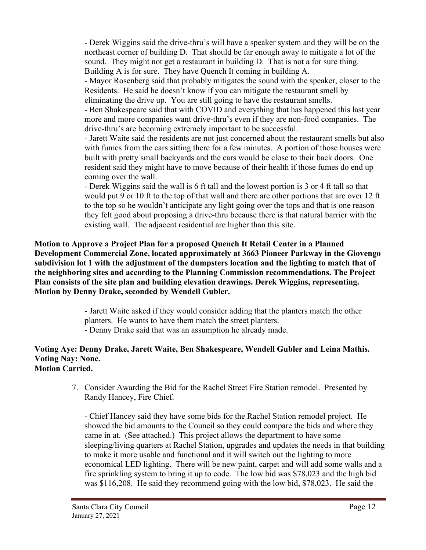- Derek Wiggins said the drive-thru's will have a speaker system and they will be on the northeast corner of building D. That should be far enough away to mitigate a lot of the sound. They might not get a restaurant in building D. That is not a for sure thing. Building A is for sure. They have Quench It coming in building A.

- Mayor Rosenberg said that probably mitigates the sound with the speaker, closer to the Residents. He said he doesn't know if you can mitigate the restaurant smell by eliminating the drive up. You are still going to have the restaurant smells.

- Ben Shakespeare said that with COVID and everything that has happened this last year more and more companies want drive-thru's even if they are non-food companies. The drive-thru's are becoming extremely important to be successful.

- Jarett Waite said the residents are not just concerned about the restaurant smells but also with fumes from the cars sitting there for a few minutes. A portion of those houses were built with pretty small backyards and the cars would be close to their back doors. One resident said they might have to move because of their health if those fumes do end up coming over the wall.

- Derek Wiggins said the wall is 6 ft tall and the lowest portion is 3 or 4 ft tall so that would put 9 or 10 ft to the top of that wall and there are other portions that are over 12 ft to the top so he wouldn't anticipate any light going over the tops and that is one reason they felt good about proposing a drive-thru because there is that natural barrier with the existing wall. The adjacent residential are higher than this site.

**Motion to Approve a Project Plan for a proposed Quench It Retail Center in a Planned Development Commercial Zone, located approximately at 3663 Pioneer Parkway in the Giovengo subdivision lot 1 with the adjustment of the dumpsters location and the lighting to match that of the neighboring sites and according to the Planning Commission recommendations. The Project Plan consists of the site plan and building elevation drawings. Derek Wiggins, representing. Motion by Denny Drake, seconded by Wendell Gubler.**

> - Jarett Waite asked if they would consider adding that the planters match the other planters. He wants to have them match the street planters. - Denny Drake said that was an assumption he already made.

#### **Voting Aye: Denny Drake, Jarett Waite, Ben Shakespeare, Wendell Gubler and Leina Mathis. Voting Nay: None. Motion Carried.**

7. Consider Awarding the Bid for the Rachel Street Fire Station remodel. Presented by Randy Hancey, Fire Chief.

- Chief Hancey said they have some bids for the Rachel Station remodel project. He showed the bid amounts to the Council so they could compare the bids and where they came in at. (See attached.) This project allows the department to have some sleeping/living quarters at Rachel Station, upgrades and updates the needs in that building to make it more usable and functional and it will switch out the lighting to more economical LED lighting. There will be new paint, carpet and will add some walls and a fire sprinkling system to bring it up to code. The low bid was \$78,023 and the high bid was \$116,208. He said they recommend going with the low bid, \$78,023. He said the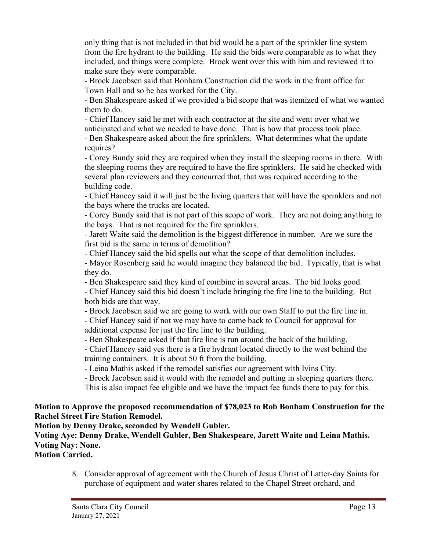only thing that is not included in that bid would be a part of the sprinkler line system from the fire hydrant to the building. He said the bids were comparable as to what they included, and things were complete. Brock went over this with him and reviewed it to make sure they were comparable.

- Brock Jacobsen said that Bonham Construction did the work in the front office for Town Hall and so he has worked for the City.

- Ben Shakespeare asked if we provided a bid scope that was itemized of what we wanted them to do.

- Chief Hancey said he met with each contractor at the site and went over what we anticipated and what we needed to have done. That is how that process took place.

- Ben Shakespeare asked about the fire sprinklers. What determines what the update requires?

- Corey Bundy said they are required when they install the sleeping rooms in there. With the sleeping rooms they are required to have the fire sprinklers. He said he checked with several plan reviewers and they concurred that, that was required according to the building code.

- Chief Hancey said it will just be the living quarters that will have the sprinklers and not the bays where the trucks are located.

- Corey Bundy said that is not part of this scope of work. They are not doing anything to the bays. That is not required for the fire sprinklers.

- Jarett Waite said the demolition is the biggest difference in number. Are we sure the first bid is the same in terms of demolition?

- Chief Hancey said the bid spells out what the scope of that demolition includes.

- Mayor Rosenberg said he would imagine they balanced the bid. Typically, that is what they do.

- Ben Shakespeare said they kind of combine in several areas. The bid looks good.

- Chief Hancey said this bid doesn't include bringing the fire line to the building. But both bids are that way.

- Brock Jacobsen said we are going to work with our own Staff to put the fire line in.

- Chief Hancey said if not we may have to come back to Council for approval for additional expense for just the fire line to the building.

- Ben Shakespeare asked if that fire line is run around the back of the building.

- Chief Hancey said yes there is a fire hydrant located directly to the west behind the training containers. It is about 50 ft from the building.

- Leina Mathis asked if the remodel satisfies our agreement with Ivins City.

- Brock Jacobsen said it would with the remodel and putting in sleeping quarters there.

This is also impact fee eligible and we have the impact fee funds there to pay for this.

# **Motion to Approve the proposed recommendation of \$78,023 to Rob Bonham Construction for the Rachel Street Fire Station Remodel.**

**Motion by Denny Drake, seconded by Wendell Gubler.**

# **Voting Aye: Denny Drake, Wendell Gubler, Ben Shakespeare, Jarett Waite and Leina Mathis. Voting Nay: None.**

**Motion Carried.**

8. Consider approval of agreement with the Church of Jesus Christ of Latter-day Saints for purchase of equipment and water shares related to the Chapel Street orchard, and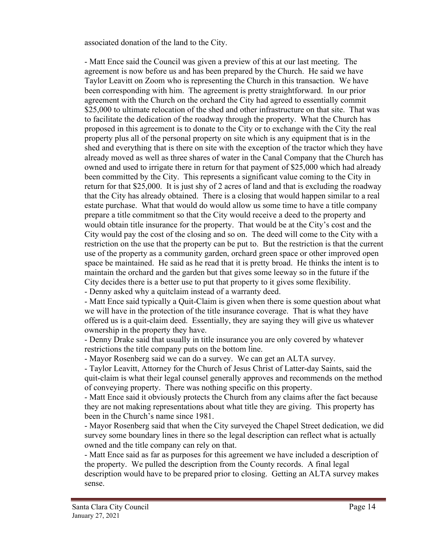associated donation of the land to the City.

- Matt Ence said the Council was given a preview of this at our last meeting. The agreement is now before us and has been prepared by the Church. He said we have Taylor Leavitt on Zoom who is representing the Church in this transaction. We have been corresponding with him. The agreement is pretty straightforward. In our prior agreement with the Church on the orchard the City had agreed to essentially commit \$25,000 to ultimate relocation of the shed and other infrastructure on that site. That was to facilitate the dedication of the roadway through the property. What the Church has proposed in this agreement is to donate to the City or to exchange with the City the real property plus all of the personal property on site which is any equipment that is in the shed and everything that is there on site with the exception of the tractor which they have already moved as well as three shares of water in the Canal Company that the Church has owned and used to irrigate there in return for that payment of \$25,000 which had already been committed by the City. This represents a significant value coming to the City in return for that \$25,000. It is just shy of 2 acres of land and that is excluding the roadway that the City has already obtained. There is a closing that would happen similar to a real estate purchase. What that would do would allow us some time to have a title company prepare a title commitment so that the City would receive a deed to the property and would obtain title insurance for the property. That would be at the City's cost and the City would pay the cost of the closing and so on. The deed will come to the City with a restriction on the use that the property can be put to. But the restriction is that the current use of the property as a community garden, orchard green space or other improved open space be maintained. He said as he read that it is pretty broad. He thinks the intent is to maintain the orchard and the garden but that gives some leeway so in the future if the City decides there is a better use to put that property to it gives some flexibility.

- Denny asked why a quitclaim instead of a warranty deed.

- Matt Ence said typically a Quit-Claim is given when there is some question about what we will have in the protection of the title insurance coverage. That is what they have offered us is a quit-claim deed. Essentially, they are saying they will give us whatever ownership in the property they have.

- Denny Drake said that usually in title insurance you are only covered by whatever restrictions the title company puts on the bottom line.

- Mayor Rosenberg said we can do a survey. We can get an ALTA survey.

- Taylor Leavitt, Attorney for the Church of Jesus Christ of Latter-day Saints, said the quit-claim is what their legal counsel generally approves and recommends on the method of conveying property. There was nothing specific on this property.

- Matt Ence said it obviously protects the Church from any claims after the fact because they are not making representations about what title they are giving. This property has been in the Church's name since 1981.

- Mayor Rosenberg said that when the City surveyed the Chapel Street dedication, we did survey some boundary lines in there so the legal description can reflect what is actually owned and the title company can rely on that.

- Matt Ence said as far as purposes for this agreement we have included a description of the property. We pulled the description from the County records. A final legal description would have to be prepared prior to closing. Getting an ALTA survey makes sense.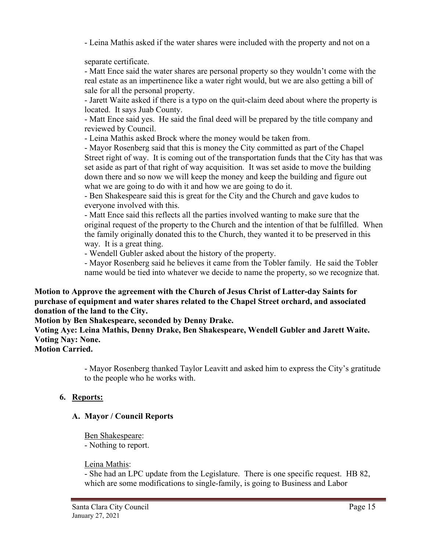- Leina Mathis asked if the water shares were included with the property and not on a

separate certificate.

- Matt Ence said the water shares are personal property so they wouldn't come with the real estate as an impertinence like a water right would, but we are also getting a bill of sale for all the personal property.

- Jarett Waite asked if there is a typo on the quit-claim deed about where the property is located. It says Juab County.

- Matt Ence said yes. He said the final deed will be prepared by the title company and reviewed by Council.

- Leina Mathis asked Brock where the money would be taken from.

- Mayor Rosenberg said that this is money the City committed as part of the Chapel Street right of way. It is coming out of the transportation funds that the City has that was set aside as part of that right of way acquisition. It was set aside to move the building down there and so now we will keep the money and keep the building and figure out what we are going to do with it and how we are going to do it.

- Ben Shakespeare said this is great for the City and the Church and gave kudos to everyone involved with this.

- Matt Ence said this reflects all the parties involved wanting to make sure that the original request of the property to the Church and the intention of that be fulfilled. When the family originally donated this to the Church, they wanted it to be preserved in this way. It is a great thing.

- Wendell Gubler asked about the history of the property.

- Mayor Rosenberg said he believes it came from the Tobler family. He said the Tobler name would be tied into whatever we decide to name the property, so we recognize that.

## **Motion to Approve the agreement with the Church of Jesus Christ of Latter-day Saints for purchase of equipment and water shares related to the Chapel Street orchard, and associated donation of the land to the City.**

**Motion by Ben Shakespeare, seconded by Denny Drake.**

**Voting Aye: Leina Mathis, Denny Drake, Ben Shakespeare, Wendell Gubler and Jarett Waite. Voting Nay: None.**

**Motion Carried.**

- Mayor Rosenberg thanked Taylor Leavitt and asked him to express the City's gratitude to the people who he works with.

# **6. Reports:**

# **A. Mayor / Council Reports**

Ben Shakespeare:

- Nothing to report.

# Leina Mathis:

- She had an LPC update from the Legislature. There is one specific request. HB 82, which are some modifications to single-family, is going to Business and Labor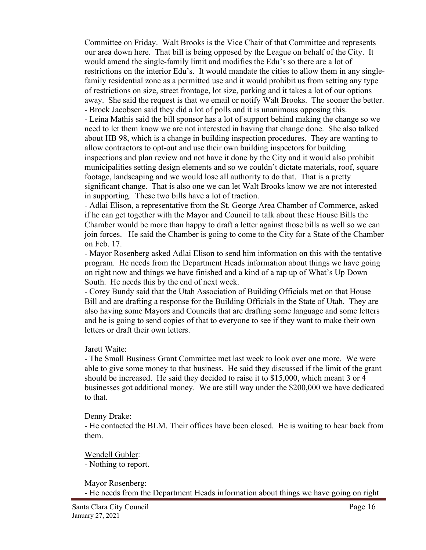Committee on Friday. Walt Brooks is the Vice Chair of that Committee and represents our area down here. That bill is being opposed by the League on behalf of the City. It would amend the single-family limit and modifies the Edu's so there are a lot of restrictions on the interior Edu's. It would mandate the cities to allow them in any singlefamily residential zone as a permitted use and it would prohibit us from setting any type of restrictions on size, street frontage, lot size, parking and it takes a lot of our options away. She said the request is that we email or notify Walt Brooks. The sooner the better. - Brock Jacobsen said they did a lot of polls and it is unanimous opposing this.

- Leina Mathis said the bill sponsor has a lot of support behind making the change so we need to let them know we are not interested in having that change done. She also talked about HB 98, which is a change in building inspection procedures. They are wanting to allow contractors to opt-out and use their own building inspectors for building inspections and plan review and not have it done by the City and it would also prohibit municipalities setting design elements and so we couldn't dictate materials, roof, square footage, landscaping and we would lose all authority to do that. That is a pretty significant change. That is also one we can let Walt Brooks know we are not interested in supporting. These two bills have a lot of traction.

- Adlai Elison, a representative from the St. George Area Chamber of Commerce, asked if he can get together with the Mayor and Council to talk about these House Bills the Chamber would be more than happy to draft a letter against those bills as well so we can join forces. He said the Chamber is going to come to the City for a State of the Chamber on Feb. 17.

- Mayor Rosenberg asked Adlai Elison to send him information on this with the tentative program. He needs from the Department Heads information about things we have going on right now and things we have finished and a kind of a rap up of What's Up Down South. He needs this by the end of next week.

- Corey Bundy said that the Utah Association of Building Officials met on that House Bill and are drafting a response for the Building Officials in the State of Utah. They are also having some Mayors and Councils that are drafting some language and some letters and he is going to send copies of that to everyone to see if they want to make their own letters or draft their own letters.

#### Jarett Waite:

- The Small Business Grant Committee met last week to look over one more. We were able to give some money to that business. He said they discussed if the limit of the grant should be increased. He said they decided to raise it to \$15,000, which meant 3 or 4 businesses got additional money. We are still way under the \$200,000 we have dedicated to that.

#### Denny Drake:

- He contacted the BLM. Their offices have been closed. He is waiting to hear back from them.

Wendell Gubler: - Nothing to report.

Mayor Rosenberg:

- He needs from the Department Heads information about things we have going on right